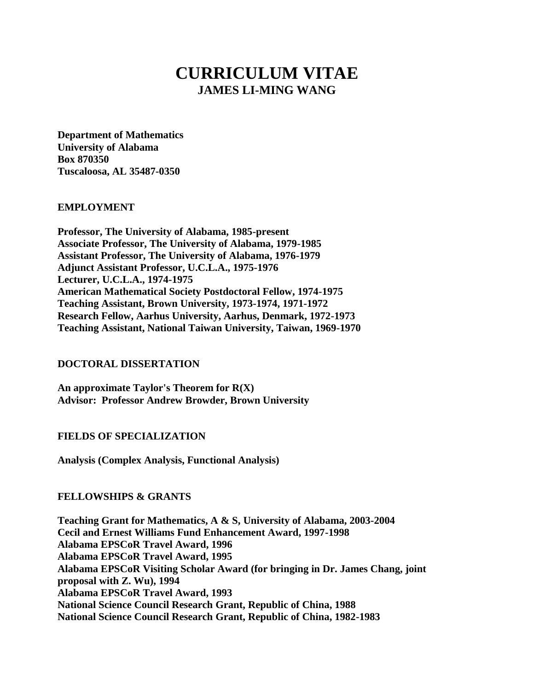# **CURRICULUM VITAE JAMES LI-MING WANG**

**Department of Mathematics University of Alabama Box 870350 Tuscaloosa, AL 35487-0350**

#### **EMPLOYMENT**

**Professor, The University of Alabama, 1985-present Associate Professor, The University of Alabama, 1979-1985 Assistant Professor, The University of Alabama, 1976-1979 Adjunct Assistant Professor, U.C.L.A., 1975-1976 Lecturer, U.C.L.A., 1974-1975 American Mathematical Society Postdoctoral Fellow, 1974-1975 Teaching Assistant, Brown University, 1973-1974, 1971-1972 Research Fellow, Aarhus University, Aarhus, Denmark, 1972-1973 Teaching Assistant, National Taiwan University, Taiwan, 1969-1970**

#### **DOCTORAL DISSERTATION**

**An approximate Taylor's Theorem for R(X) Advisor: Professor Andrew Browder, Brown University**

#### **FIELDS OF SPECIALIZATION**

**Analysis (Complex Analysis, Functional Analysis)**

#### **FELLOWSHIPS & GRANTS**

**Teaching Grant for Mathematics, A & S, University of Alabama, 2003-2004 Cecil and Ernest Williams Fund Enhancement Award, 1997-1998 Alabama EPSCoR Travel Award, 1996 Alabama EPSCoR Travel Award, 1995 Alabama EPSCoR Visiting Scholar Award (for bringing in Dr. James Chang, joint proposal with Z. Wu), 1994 Alabama EPSCoR Travel Award, 1993 National Science Council Research Grant, Republic of China, 1988 National Science Council Research Grant, Republic of China, 1982-1983**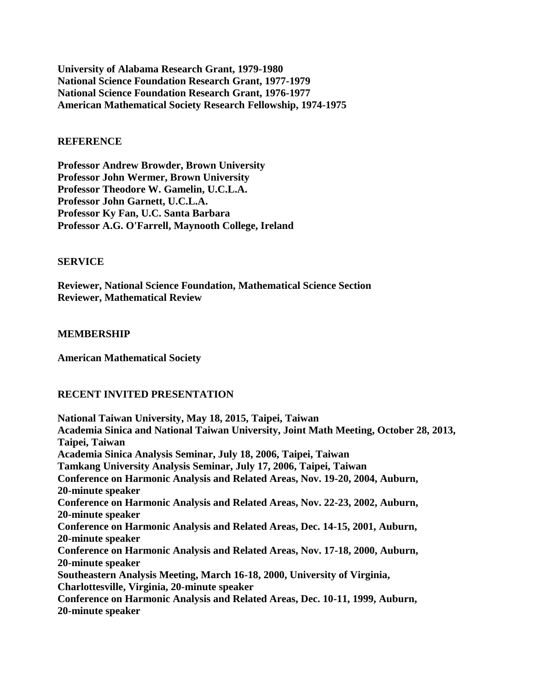**University of Alabama Research Grant, 1979-1980 National Science Foundation Research Grant, 1977-1979 National Science Foundation Research Grant, 1976-1977 American Mathematical Society Research Fellowship, 1974-1975**

#### **REFERENCE**

**Professor Andrew Browder, Brown University Professor John Wermer, Brown University Professor Theodore W. Gamelin, U.C.L.A. Professor John Garnett, U.C.L.A. Professor Ky Fan, U.C. Santa Barbara Professor A.G. O'Farrell, Maynooth College, Ireland**

#### **SERVICE**

**Reviewer, National Science Foundation, Mathematical Science Section Reviewer, Mathematical Review**

#### **MEMBERSHIP**

**American Mathematical Society**

#### **RECENT INVITED PRESENTATION**

**National Taiwan University, May 18, 2015, Taipei, Taiwan Academia Sinica and National Taiwan University, Joint Math Meeting, October 28, 2013, Taipei, Taiwan Academia Sinica Analysis Seminar, July 18, 2006, Taipei, Taiwan Tamkang University Analysis Seminar, July 17, 2006, Taipei, Taiwan Conference on Harmonic Analysis and Related Areas, Nov. 19-20, 2004, Auburn, 20-minute speaker Conference on Harmonic Analysis and Related Areas, Nov. 22-23, 2002, Auburn, 20-minute speaker Conference on Harmonic Analysis and Related Areas, Dec. 14-15, 2001, Auburn, 20-minute speaker Conference on Harmonic Analysis and Related Areas, Nov. 17-18, 2000, Auburn, 20-minute speaker Southeastern Analysis Meeting, March 16-18, 2000, University of Virginia, Charlottesville, Virginia, 20-minute speaker Conference on Harmonic Analysis and Related Areas, Dec. 10-11, 1999, Auburn, 20-minute speaker**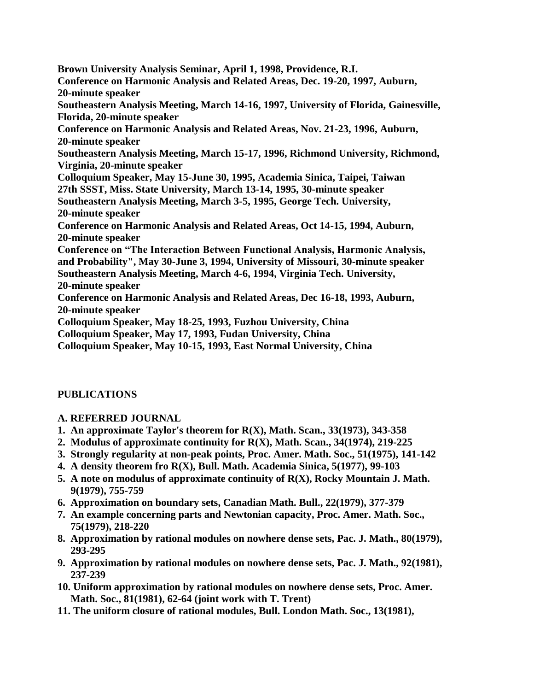**Brown University Analysis Seminar, April 1, 1998, Providence, R.I. Conference on Harmonic Analysis and Related Areas, Dec. 19-20, 1997, Auburn, 20-minute speaker Southeastern Analysis Meeting, March 14-16, 1997, University of Florida, Gainesville, Florida, 20-minute speaker Conference on Harmonic Analysis and Related Areas, Nov. 21-23, 1996, Auburn, 20-minute speaker Southeastern Analysis Meeting, March 15-17, 1996, Richmond University, Richmond, Virginia, 20-minute speaker Colloquium Speaker, May 15-June 30, 1995, Academia Sinica, Taipei, Taiwan 27th SSST, Miss. State University, March 13-14, 1995, 30-minute speaker Southeastern Analysis Meeting, March 3-5, 1995, George Tech. University, 20-minute speaker Conference on Harmonic Analysis and Related Areas, Oct 14-15, 1994, Auburn, 20-minute speaker Conference on "The Interaction Between Functional Analysis, Harmonic Analysis, and Probability", May 30-June 3, 1994, University of Missouri, 30-minute speaker Southeastern Analysis Meeting, March 4-6, 1994, Virginia Tech. University, 20-minute speaker Conference on Harmonic Analysis and Related Areas, Dec 16-18, 1993, Auburn, 20-minute speaker Colloquium Speaker, May 18-25, 1993, Fuzhou University, China Colloquium Speaker, May 17, 1993, Fudan University, China Colloquium Speaker, May 10-15, 1993, East Normal University, China**

# **PUBLICATIONS**

## **A. REFERRED JOURNAL**

- **1. An approximate Taylor's theorem for R(X), Math. Scan., 33(1973), 343-358**
- **2. Modulus of approximate continuity for R(X), Math. Scan., 34(1974), 219-225**
- **3. Strongly regularity at non-peak points, Proc. Amer. Math. Soc., 51(1975), 141-142**
- **4. A density theorem fro R(X), Bull. Math. Academia Sinica, 5(1977), 99-103**
- **5. A note on modulus of approximate continuity of R(X), Rocky Mountain J. Math. 9(1979), 755-759**
- **6. Approximation on boundary sets, Canadian Math. Bull., 22(1979), 377-379**
- **7. An example concerning parts and Newtonian capacity, Proc. Amer. Math. Soc., 75(1979), 218-220**
- **8. Approximation by rational modules on nowhere dense sets, Pac. J. Math., 80(1979), 293-295**
- **9. Approximation by rational modules on nowhere dense sets, Pac. J. Math., 92(1981), 237-239**
- **10. Uniform approximation by rational modules on nowhere dense sets, Proc. Amer. Math. Soc., 81(1981), 62-64 (joint work with T. Trent)**
- **11. The uniform closure of rational modules, Bull. London Math. Soc., 13(1981),**